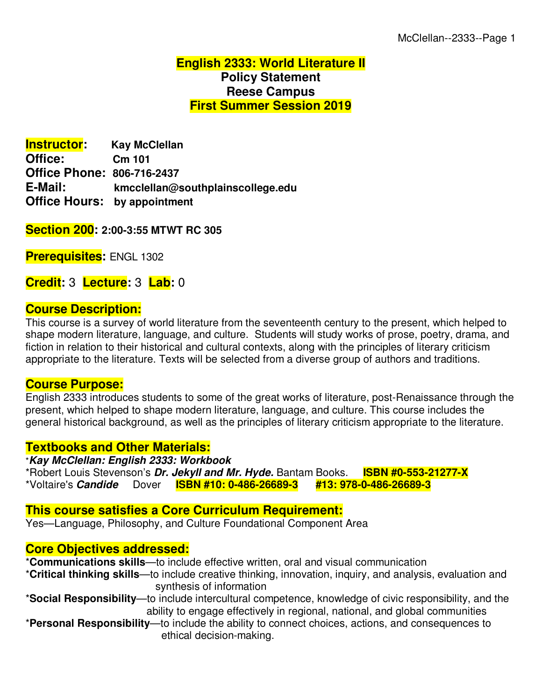## **English 2333: World Literature II Policy Statement Reese Campus First Summer Session 2019**

**Instructor: Kay McClellan Office: Cm 101 Office Phone: 806-716-2437 E-Mail: kmcclellan@southplainscollege.edu Office Hours: by appointment**

**Section 200: 2:00-3:55 MTWT RC 305**

**Prerequisites:** ENGL 1302

**Credit:** 3 **Lecture:** 3 **Lab:** 0

#### **Course Description:**

This course is a survey of world literature from the seventeenth century to the present, which helped to shape modern literature, language, and culture. Students will study works of prose, poetry, drama, and fiction in relation to their historical and cultural contexts, along with the principles of literary criticism appropriate to the literature. Texts will be selected from a diverse group of authors and traditions.

#### **Course Purpose:**

English 2333 introduces students to some of the great works of literature, post-Renaissance through the present, which helped to shape modern literature, language, and culture. This course includes the general historical background, as well as the principles of literary criticism appropriate to the literature.

#### **Textbooks and Other Materials:**

\**Kay McClellan: English 2333: Workbook*  \*Robert Louis Stevenson's *Dr. Jekyll and Mr. Hyde.* Bantam Books. **ISBN #0-553-21277-X** \*Voltaire's *Candide* Dover **ISBN #10: 0-486-26689-3 #13: 978-0-486-26689-3**

#### **This course satisfies a Core Curriculum Requirement:**

Yes—Language, Philosophy, and Culture Foundational Component Area

#### **Core Objectives addressed:**

\***Communications skills**—to include effective written, oral and visual communication

- \***Critical thinking skills**—to include creative thinking, innovation, inquiry, and analysis, evaluation and synthesis of information
- \***Social Responsibility**—to include intercultural competence, knowledge of civic responsibility, and the ability to engage effectively in regional, national, and global communities
- \***Personal Responsibility**—to include the ability to connect choices, actions, and consequences to ethical decision-making.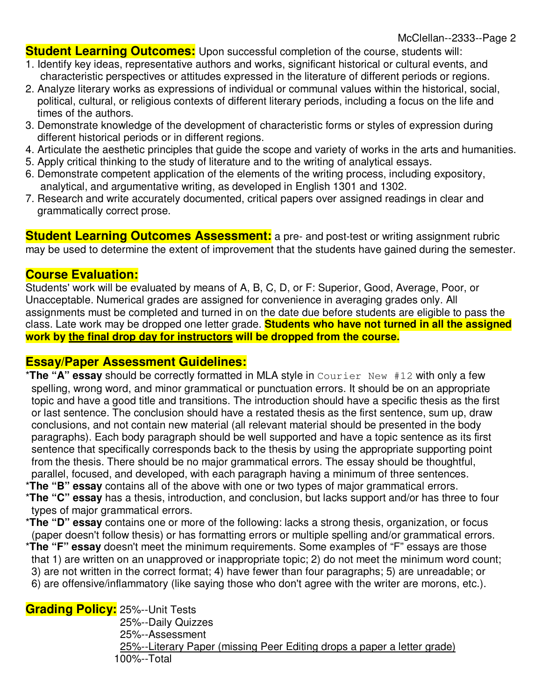**Student Learning Outcomes:** Upon successful completion of the course, students will:

- 1. Identify key ideas, representative authors and works, significant historical or cultural events, and characteristic perspectives or attitudes expressed in the literature of different periods or regions.
- 2. Analyze literary works as expressions of individual or communal values within the historical, social, political, cultural, or religious contexts of different literary periods, including a focus on the life and times of the authors.
- 3. Demonstrate knowledge of the development of characteristic forms or styles of expression during different historical periods or in different regions.
- 4. Articulate the aesthetic principles that guide the scope and variety of works in the arts and humanities.
- 5. Apply critical thinking to the study of literature and to the writing of analytical essays.
- 6. Demonstrate competent application of the elements of the writing process, including expository, analytical, and argumentative writing, as developed in English 1301 and 1302.
- 7. Research and write accurately documented, critical papers over assigned readings in clear and grammatically correct prose.

**Student Learning Outcomes Assessment:** a pre- and post-test or writing assignment rubric may be used to determine the extent of improvement that the students have gained during the semester.

## **Course Evaluation:**

Students' work will be evaluated by means of A, B, C, D, or F: Superior, Good, Average, Poor, or Unacceptable. Numerical grades are assigned for convenience in averaging grades only. All assignments must be completed and turned in on the date due before students are eligible to pass the class. Late work may be dropped one letter grade. **Students who have not turned in all the assigned work by the final drop day for instructors will be dropped from the course.**

#### **Essay/Paper Assessment Guidelines:**

- \***The "A" essay** should be correctly formatted in MLA style in Courier New #12 with only a few spelling, wrong word, and minor grammatical or punctuation errors. It should be on an appropriate topic and have a good title and transitions. The introduction should have a specific thesis as the first or last sentence. The conclusion should have a restated thesis as the first sentence, sum up, draw conclusions, and not contain new material (all relevant material should be presented in the body paragraphs). Each body paragraph should be well supported and have a topic sentence as its first sentence that specifically corresponds back to the thesis by using the appropriate supporting point from the thesis. There should be no major grammatical errors. The essay should be thoughtful, parallel, focused, and developed, with each paragraph having a minimum of three sentences.
- \***The "B" essay** contains all of the above with one or two types of major grammatical errors.
- \***The "C" essay** has a thesis, introduction, and conclusion, but lacks support and/or has three to four types of major grammatical errors.
- \***The "D" essay** contains one or more of the following: lacks a strong thesis, organization, or focus (paper doesn't follow thesis) or has formatting errors or multiple spelling and/or grammatical errors.
- \***The "F" essay** doesn't meet the minimum requirements. Some examples of "F" essays are those that 1) are written on an unapproved or inappropriate topic; 2) do not meet the minimum word count; 3) are not written in the correct format; 4) have fewer than four paragraphs; 5) are unreadable; or 6) are offensive/inflammatory (like saying those who don't agree with the writer are morons, etc.).

# **Grading Policy:** 25%--Unit Tests

 25%--Daily Quizzes 25%--Assessment 25%--Literary Paper (missing Peer Editing drops a paper a letter grade) 100%--Total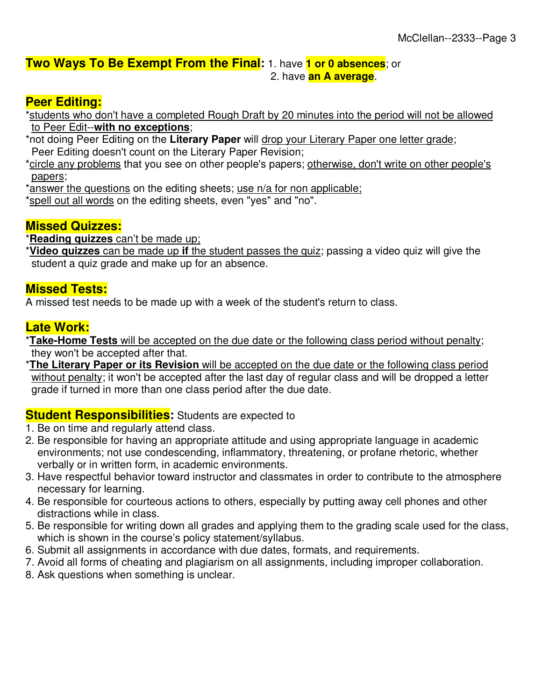# **Two Ways To Be Exempt From the Final:** 1. have **1 or 0 absences**; or

2. have **an A average**.

# **Peer Editing:**

\*students who don't have a completed Rough Draft by 20 minutes into the period will not be allowed to Peer Edit--**with no exceptions**;

- \*not doing Peer Editing on the **Literary Paper** will drop your Literary Paper one letter grade; Peer Editing doesn't count on the Literary Paper Revision;
- \*circle any problems that you see on other people's papers; otherwise, don't write on other people's papers;

\*answer the questions on the editing sheets; use n/a for non applicable;

\*spell out all words on the editing sheets, even "yes" and "no".

# **Missed Quizzes:**

\***Reading quizzes** can't be made up;

\***Video quizzes** can be made up **if** the student passes the quiz; passing a video quiz will give the student a quiz grade and make up for an absence.

# **Missed Tests:**

A missed test needs to be made up with a week of the student's return to class.

# **Late Work:**

\***Take-Home Tests** will be accepted on the due date or the following class period without penalty; they won't be accepted after that.

\***The Literary Paper or its Revision** will be accepted on the due date or the following class period without penalty; it won't be accepted after the last day of regular class and will be dropped a letter grade if turned in more than one class period after the due date.

# **Student Responsibilities:** Students are expected to

- 1. Be on time and regularly attend class.
- 2. Be responsible for having an appropriate attitude and using appropriate language in academic environments; not use condescending, inflammatory, threatening, or profane rhetoric, whether verbally or in written form, in academic environments.
- 3. Have respectful behavior toward instructor and classmates in order to contribute to the atmosphere necessary for learning.
- 4. Be responsible for courteous actions to others, especially by putting away cell phones and other distractions while in class.
- 5. Be responsible for writing down all grades and applying them to the grading scale used for the class, which is shown in the course's policy statement/syllabus.
- 6. Submit all assignments in accordance with due dates, formats, and requirements.
- 7. Avoid all forms of cheating and plagiarism on all assignments, including improper collaboration.
- 8. Ask questions when something is unclear.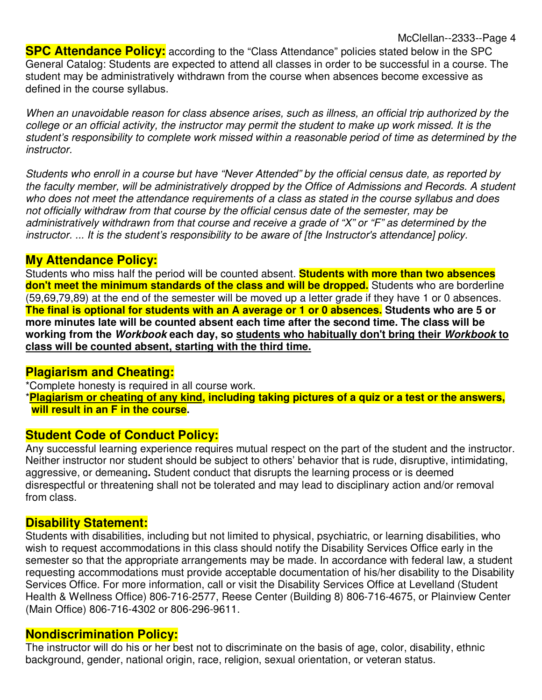**SPC Attendance Policy:** according to the "Class Attendance" policies stated below in the SPC General Catalog: Students are expected to attend all classes in order to be successful in a course. The student may be administratively withdrawn from the course when absences become excessive as defined in the course syllabus.

When an unavoidable reason for class absence arises, such as illness, an official trip authorized by the college or an official activity, the instructor may permit the student to make up work missed. It is the student's responsibility to complete work missed within a reasonable period of time as determined by the instructor.

Students who enroll in a course but have "Never Attended" by the official census date, as reported by the faculty member, will be administratively dropped by the Office of Admissions and Records. A student who does not meet the attendance requirements of a class as stated in the course syllabus and does not officially withdraw from that course by the official census date of the semester, may be administratively withdrawn from that course and receive a grade of "X" or "F" as determined by the instructor. ... It is the student's responsibility to be aware of [the Instructor's attendance] policy.

#### **My Attendance Policy:**

Students who miss half the period will be counted absent. **Students with more than two absences**  don't meet the minimum standards of the class and will be dropped. Students who are borderline (59,69,79,89) at the end of the semester will be moved up a letter grade if they have 1 or 0 absences. **The final is optional for students with an A average or 1 or 0 absences. Students who are 5 or more minutes late will be counted absent each time after the second time. The class will be working from the** *Workbook* **each day, so students who habitually don't bring their** *Workbook* **to class will be counted absent, starting with the third time.**

#### **Plagiarism and Cheating:**

\*Complete honesty is required in all course work.

\***Plagiarism or cheating of any kind, including taking pictures of a quiz or a test or the answers, will result in an F in the course.**

# **Student Code of Conduct Policy:**

Any successful learning experience requires mutual respect on the part of the student and the instructor. Neither instructor nor student should be subject to others' behavior that is rude, disruptive, intimidating, aggressive, or demeaning**.** Student conduct that disrupts the learning process or is deemed disrespectful or threatening shall not be tolerated and may lead to disciplinary action and/or removal from class.

#### **Disability Statement:**

Students with disabilities, including but not limited to physical, psychiatric, or learning disabilities, who wish to request accommodations in this class should notify the Disability Services Office early in the semester so that the appropriate arrangements may be made. In accordance with federal law, a student requesting accommodations must provide acceptable documentation of his/her disability to the Disability Services Office. For more information, call or visit the Disability Services Office at Levelland (Student Health & Wellness Office) 806-716-2577, Reese Center (Building 8) 806-716-4675, or Plainview Center (Main Office) 806-716-4302 or 806-296-9611.

# **Nondiscrimination Policy:**

The instructor will do his or her best not to discriminate on the basis of age, color, disability, ethnic background, gender, national origin, race, religion, sexual orientation, or veteran status.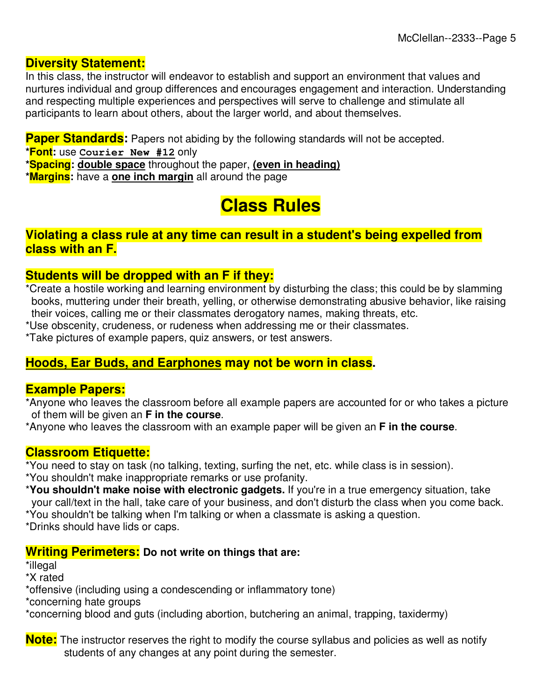## **Diversity Statement:**

In this class, the instructor will endeavor to establish and support an environment that values and nurtures individual and group differences and encourages engagement and interaction. Understanding and respecting multiple experiences and perspectives will serve to challenge and stimulate all participants to learn about others, about the larger world, and about themselves.

**Paper Standards:** Papers not abiding by the following standards will not be accepted.

**\*Font:** use **Courier New #12** only

**\*Spacing: double space** throughout the paper, **(even in heading)**

**\*Margins:** have a **one inch margin** all around the page

# **Class Rules**

## **Violating a class rule at any time can result in a student's being expelled from class with an F.**

# **Students will be dropped with an F if they:**

\*Create a hostile working and learning environment by disturbing the class; this could be by slamming books, muttering under their breath, yelling, or otherwise demonstrating abusive behavior, like raising their voices, calling me or their classmates derogatory names, making threats, etc.

\*Use obscenity, crudeness, or rudeness when addressing me or their classmates.

\*Take pictures of example papers, quiz answers, or test answers.

# **Hoods, Ear Buds, and Earphones may not be worn in class.**

#### **Example Papers:**

\*Anyone who leaves the classroom before all example papers are accounted for or who takes a picture of them will be given an **F in the course**.

\*Anyone who leaves the classroom with an example paper will be given an **F in the course**.

# **Classroom Etiquette:**

\*You need to stay on task (no talking, texting, surfing the net, etc. while class is in session).

\*You shouldn't make inappropriate remarks or use profanity.

\***You shouldn't make noise with electronic gadgets.** If you're in a true emergency situation, take your call/text in the hall, take care of your business, and don't disturb the class when you come back.

\*You shouldn't be talking when I'm talking or when a classmate is asking a question.

\*Drinks should have lids or caps.

# **Writing Perimeters: Do not write on things that are:**

\*illegal

\*X rated

\*offensive (including using a condescending or inflammatory tone)

\*concerning hate groups

\*concerning blood and guts (including abortion, butchering an animal, trapping, taxidermy)

**Note:** The instructor reserves the right to modify the course syllabus and policies as well as notify students of any changes at any point during the semester.